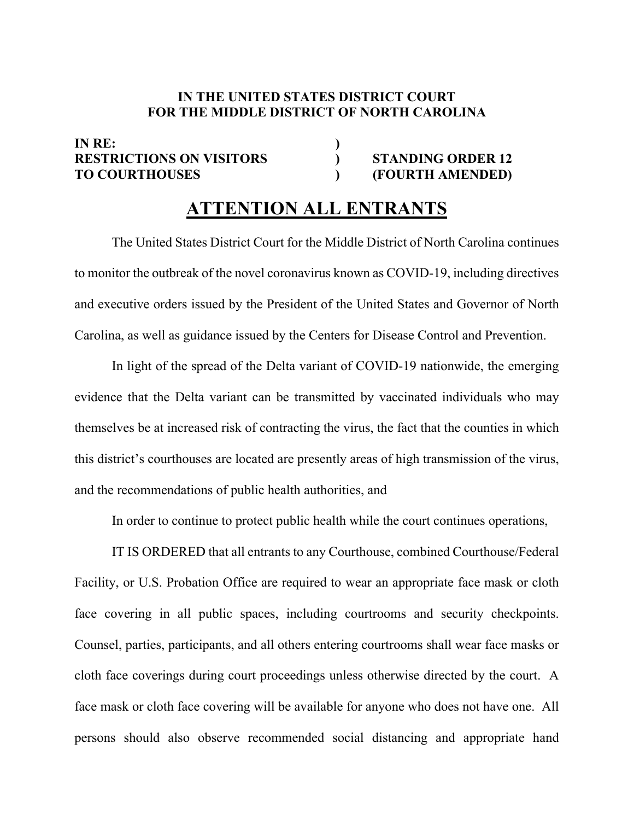## **IN THE UNITED STATES DISTRICT COURT FOR THE MIDDLE DISTRICT OF NORTH CAROLINA**

## **IN RE: ) RESTRICTIONS ON VISITORS ) STANDING ORDER 12 TO COURTHOUSES ) (FOURTH AMENDED)**

## **ATTENTION ALL ENTRANTS**

 The United States District Court for the Middle District of North Carolina continues to monitor the outbreak of the novel coronavirus known as COVID-19, including directives and executive orders issued by the President of the United States and Governor of North Carolina, as well as guidance issued by the Centers for Disease Control and Prevention.

In light of the spread of the Delta variant of COVID-19 nationwide, the emerging evidence that the Delta variant can be transmitted by vaccinated individuals who may themselves be at increased risk of contracting the virus, the fact that the counties in which this district's courthouses are located are presently areas of high transmission of the virus, and the recommendations of public health authorities, and

In order to continue to protect public health while the court continues operations,

IT IS ORDERED that all entrants to any Courthouse, combined Courthouse/Federal Facility, or U.S. Probation Office are required to wear an appropriate face mask or cloth face covering in all public spaces, including courtrooms and security checkpoints. Counsel, parties, participants, and all others entering courtrooms shall wear face masks or cloth face coverings during court proceedings unless otherwise directed by the court. A face mask or cloth face covering will be available for anyone who does not have one. All persons should also observe recommended social distancing and appropriate hand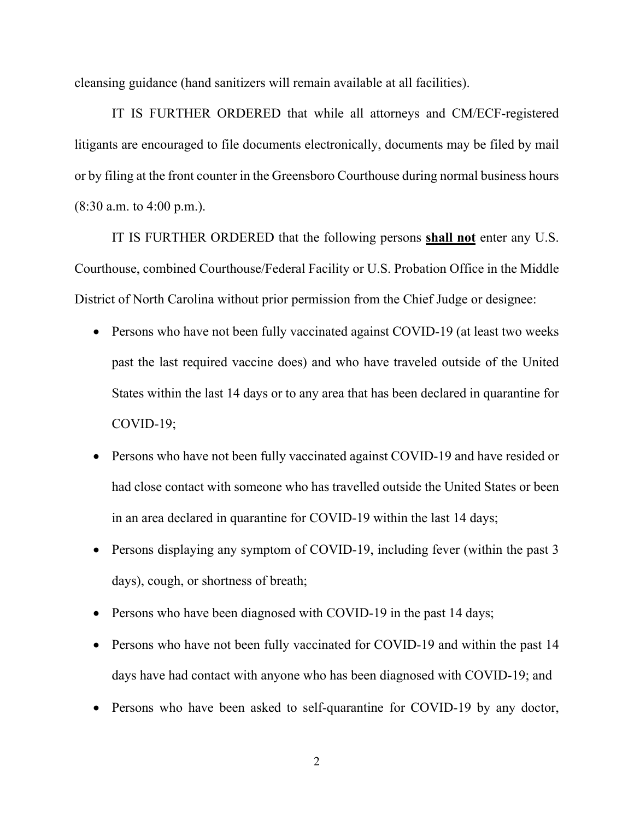cleansing guidance (hand sanitizers will remain available at all facilities).

IT IS FURTHER ORDERED that while all attorneys and CM/ECF-registered litigants are encouraged to file documents electronically, documents may be filed by mail or by filing at the front counter in the Greensboro Courthouse during normal business hours (8:30 a.m. to 4:00 p.m.).

IT IS FURTHER ORDERED that the following persons **shall not** enter any U.S. Courthouse, combined Courthouse/Federal Facility or U.S. Probation Office in the Middle District of North Carolina without prior permission from the Chief Judge or designee:

- Persons who have not been fully vaccinated against COVID-19 (at least two weeks past the last required vaccine does) and who have traveled outside of the United States within the last 14 days or to any area that has been declared in quarantine for COVID-19;
- Persons who have not been fully vaccinated against COVID-19 and have resided or had close contact with someone who has travelled outside the United States or been in an area declared in quarantine for COVID-19 within the last 14 days;
- Persons displaying any symptom of COVID-19, including fever (within the past 3 days), cough, or shortness of breath;
- Persons who have been diagnosed with COVID-19 in the past 14 days;
- Persons who have not been fully vaccinated for COVID-19 and within the past 14 days have had contact with anyone who has been diagnosed with COVID-19; and
- Persons who have been asked to self-quarantine for COVID-19 by any doctor,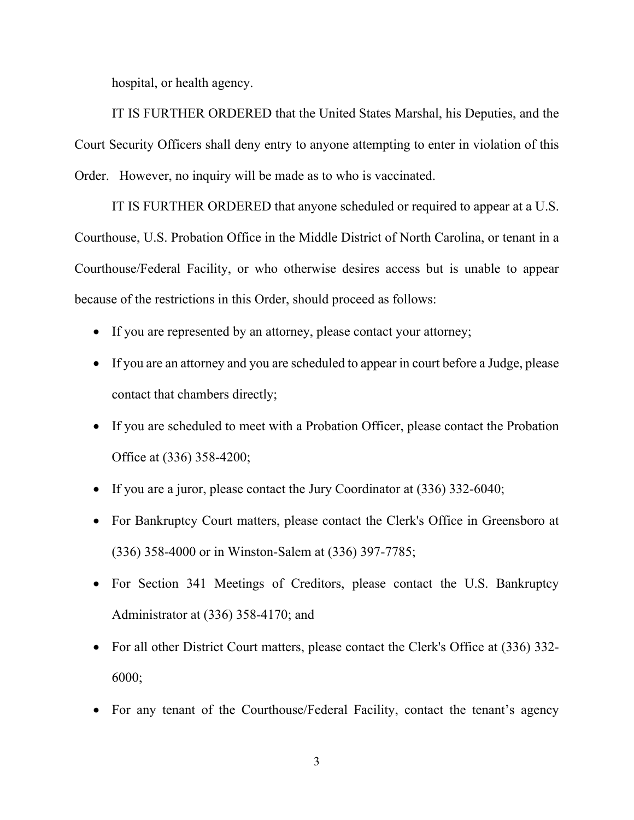hospital, or health agency.

IT IS FURTHER ORDERED that the United States Marshal, his Deputies, and the Court Security Officers shall deny entry to anyone attempting to enter in violation of this Order. However, no inquiry will be made as to who is vaccinated.

IT IS FURTHER ORDERED that anyone scheduled or required to appear at a U.S. Courthouse, U.S. Probation Office in the Middle District of North Carolina, or tenant in a Courthouse/Federal Facility, or who otherwise desires access but is unable to appear because of the restrictions in this Order, should proceed as follows:

- If you are represented by an attorney, please contact your attorney;
- If you are an attorney and you are scheduled to appear in court before a Judge, please contact that chambers directly;
- If you are scheduled to meet with a Probation Officer, please contact the Probation Office at (336) 358-4200;
- If you are a juror, please contact the Jury Coordinator at (336) 332-6040;
- For Bankruptcy Court matters, please contact the Clerk's Office in Greensboro at (336) 358-4000 or in Winston-Salem at (336) 397-7785;
- For Section 341 Meetings of Creditors, please contact the U.S. Bankruptcy Administrator at (336) 358-4170; and
- For all other District Court matters, please contact the Clerk's Office at (336) 332-6000;
- For any tenant of the Courthouse/Federal Facility, contact the tenant's agency